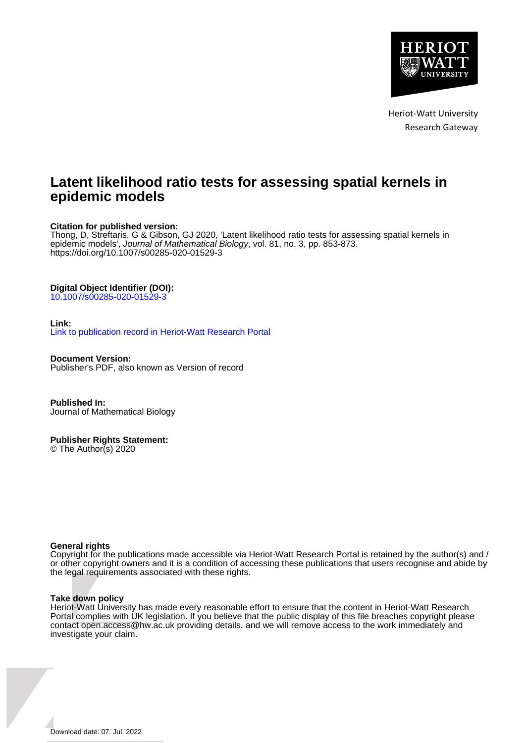

Heriot-Watt University Research Gateway

# **Latent likelihood ratio tests for assessing spatial kernels in epidemic models**

#### **Citation for published version:**

Thong, D, Streftaris, G & Gibson, GJ 2020, 'Latent likelihood ratio tests for assessing spatial kernels in epidemic models', Journal of Mathematical Biology, vol. 81, no. 3, pp. 853-873. <https://doi.org/10.1007/s00285-020-01529-3>

## **Digital Object Identifier (DOI):**

[10.1007/s00285-020-01529-3](https://doi.org/10.1007/s00285-020-01529-3)

#### **Link:**

[Link to publication record in Heriot-Watt Research Portal](https://researchportal.hw.ac.uk/en/publications/31f00d1a-3e3b-443b-9493-cde38ae94f90)

**Document Version:** Publisher's PDF, also known as Version of record

**Published In:** Journal of Mathematical Biology

#### **Publisher Rights Statement:**

© The Author(s) 2020

#### **General rights**

Copyright for the publications made accessible via Heriot-Watt Research Portal is retained by the author(s) and / or other copyright owners and it is a condition of accessing these publications that users recognise and abide by the legal requirements associated with these rights.

#### **Take down policy**

Heriot-Watt University has made every reasonable effort to ensure that the content in Heriot-Watt Research Portal complies with UK legislation. If you believe that the public display of this file breaches copyright please contact open.access@hw.ac.uk providing details, and we will remove access to the work immediately and investigate your claim.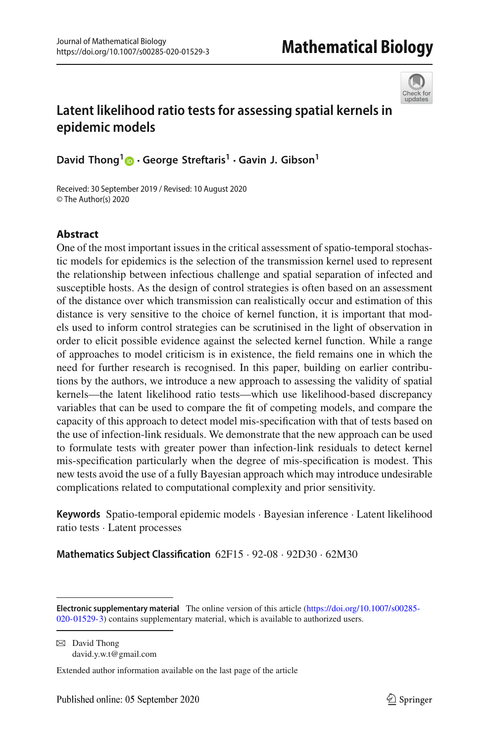

# **Latent likelihood ratio tests for assessing spatial kernels in epidemic models**

**David Thong[1](http://orcid.org/0000-0003-2438-1867) · George Streftaris<sup>1</sup> · Gavin J. Gibson1**

Received: 30 September 2019 / Revised: 10 August 2020 © The Author(s) 2020

# **Abstract**

One of the most important issues in the critical assessment of spatio-temporal stochastic models for epidemics is the selection of the transmission kernel used to represent the relationship between infectious challenge and spatial separation of infected and susceptible hosts. As the design of control strategies is often based on an assessment of the distance over which transmission can realistically occur and estimation of this distance is very sensitive to the choice of kernel function, it is important that models used to inform control strategies can be scrutinised in the light of observation in order to elicit possible evidence against the selected kernel function. While a range of approaches to model criticism is in existence, the field remains one in which the need for further research is recognised. In this paper, building on earlier contributions by the authors, we introduce a new approach to assessing the validity of spatial kernels—the latent likelihood ratio tests—which use likelihood-based discrepancy variables that can be used to compare the fit of competing models, and compare the capacity of this approach to detect model mis-specification with that of tests based on the use of infection-link residuals. We demonstrate that the new approach can be used to formulate tests with greater power than infection-link residuals to detect kernel mis-specification particularly when the degree of mis-specification is modest. This new tests avoid the use of a fully Bayesian approach which may introduce undesirable complications related to computational complexity and prior sensitivity.

**Keywords** Spatio-temporal epidemic models · Bayesian inference · Latent likelihood ratio tests · Latent processes

**Mathematics Subject Classification** 62F15 · 92-08 · 92D30 · 62M30

 $\boxtimes$  David Thong david.y.w.t@gmail.com

Extended author information available on the last page of the article

**Electronic supplementary material** The online version of this article [\(https://doi.org/10.1007/s00285-](https://doi.org/10.1007/s00285-020-01529-3) [020-01529-3\)](https://doi.org/10.1007/s00285-020-01529-3) contains supplementary material, which is available to authorized users.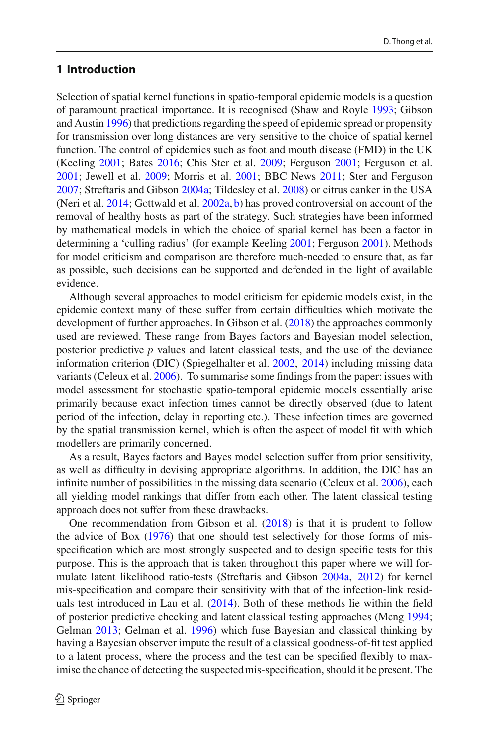### <span id="page-2-0"></span>**1 Introduction**

Selection of spatial kernel functions in spatio-temporal epidemic models is a question of paramount practical importance. It is recognised (Shaw and Royl[e](#page-21-0) [1993](#page-21-0); Gibson and Austi[n](#page-20-0) [1996\)](#page-20-0) that predictions regarding the speed of epidemic spread or propensity for transmission over long distances are very sensitive to the choice of spatial kernel function. The control of epidemics such as foot and mouth disease (FMD) in the UK (Keelin[g](#page-20-1) [2001;](#page-20-1) Bate[s](#page-19-0) [2016](#page-19-0); Chis Ster et al[.](#page-19-1) [2009](#page-19-1); Ferguso[n](#page-19-2) [2001](#page-19-2); Ferguson et al[.](#page-19-3) [2001;](#page-19-3) Jewell et al[.](#page-20-2) [2009;](#page-20-2) Morris et al[.](#page-20-3) [2001](#page-20-3); BBC New[s](#page-19-4) [2011](#page-19-4); Ster and Ferguso[n](#page-21-1) [2007;](#page-21-1) Streftaris and Gibso[n](#page-21-2) [2004a](#page-21-2); Tildesley et al[.](#page-21-3) [2008](#page-21-3)) or citrus canker in the USA (Neri et al[.](#page-20-4) [2014;](#page-20-4) Gottwald et al[.](#page-20-5) [2002a,](#page-20-5) [b\)](#page-20-6) has proved controversial on account of the removal of healthy hosts as part of the strategy. Such strategies have been informed by mathematical models in which the choice of spatial kernel has been a factor in determining a 'culling radius' (for example Keelin[g](#page-20-1) [2001;](#page-20-1) Ferguso[n](#page-19-2) [2001\)](#page-19-2). Methods for model criticism and comparison are therefore much-needed to ensure that, as far as possible, such decisions can be supported and defended in the light of available evidence.

Although several approaches to model criticism for epidemic models exist, in the epidemic context many of these suffer from certain difficulties which motivate the development of further approaches[.](#page-20-7) In Gibson et al. [\(2018\)](#page-20-7) the approaches commonly used are reviewed. These range from Bayes factors and Bayesian model selection, posterior predictive *p* values and latent classical tests, and the use of the deviance information criterion (DIC) (Spiegelhalter et al[.](#page-21-4) [2002,](#page-21-4) [2014](#page-21-5)) including missing data variants (Celeux et al[.](#page-19-5) [2006](#page-19-5)). To summarise some findings from the paper: issues with model assessment for stochastic spatio-temporal epidemic models essentially arise primarily because exact infection times cannot be directly observed (due to latent period of the infection, delay in reporting etc.). These infection times are governed by the spatial transmission kernel, which is often the aspect of model fit with which modellers are primarily concerned.

As a result, Bayes factors and Bayes model selection suffer from prior sensitivity, as well as difficulty in devising appropriate algorithms. In addition, the DIC has an infinite number of possibilities in the missing data scenario (Celeux et al[.](#page-19-5) [2006\)](#page-19-5), each all yielding model rankings that differ from each other. The latent classical testing approach does not suffer from these drawbacks.

One recommendation from Gibson et al[.](#page-20-7) [\(2018](#page-20-7)) is that it is prudent to follow the advice of Bo[x](#page-19-6) [\(1976](#page-19-6)) that one should test selectively for those forms of misspecification which are most strongly suspected and to design specific tests for this purpose. This is the approach that is taken throughout this paper where we will formulate latent likelihood ratio-tests (Streftaris and Gibso[n](#page-21-2) [2004a](#page-21-2), [2012\)](#page-21-6) for kernel mis-specification and compare their sensitivity with that of the infection-link residuals test introduced in Lau et al[.](#page-20-8) [\(2014](#page-20-8)). Both of these methods lie within the field of posterior predictive checking and latent classical testing approaches (Men[g](#page-20-9) [1994](#page-20-9); Gelma[n](#page-20-10) [2013;](#page-20-10) Gelman et al[.](#page-20-11) [1996](#page-20-11)) which fuse Bayesian and classical thinking by having a Bayesian observer impute the result of a classical goodness-of-fit test applied to a latent process, where the process and the test can be specified flexibly to maximise the chance of detecting the suspected mis-specification, should it be present. The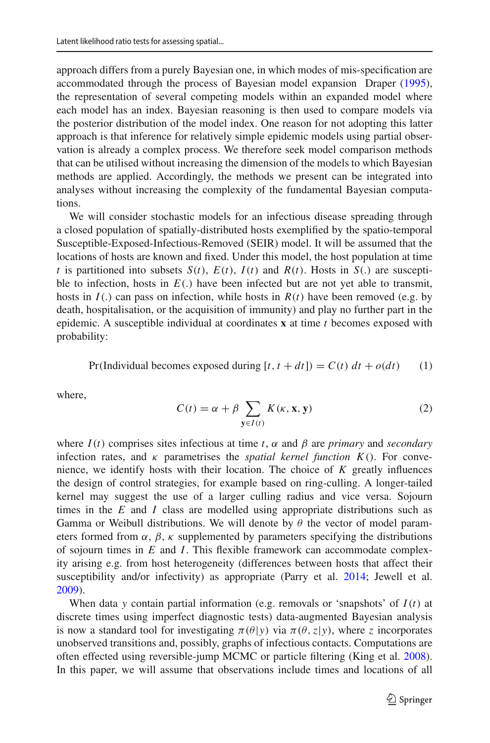approach differs from a purely Bayesian one, in which modes of mis-specification are accommodated through the process of Bayesian model expansion Drape[r](#page-19-7) [\(1995](#page-19-7)), the representation of several competing models within an expanded model where each model has an index. Bayesian reasoning is then used to compare models via the posterior distribution of the model index. One reason for not adopting this latter approach is that inference for relatively simple epidemic models using partial observation is already a complex process. We therefore seek model comparison methods that can be utilised without increasing the dimension of the models to which Bayesian methods are applied. Accordingly, the methods we present can be integrated into analyses without increasing the complexity of the fundamental Bayesian computations.

We will consider stochastic models for an infectious disease spreading through a closed population of spatially-distributed hosts exemplified by the spatio-temporal Susceptible-Exposed-Infectious-Removed (SEIR) model. It will be assumed that the locations of hosts are known and fixed. Under this model, the host population at time *t* is partitioned into subsets  $S(t)$ ,  $E(t)$ ,  $I(t)$  and  $R(t)$ . Hosts in  $S(t)$  are susceptible to infection, hosts in  $E(.)$  have been infected but are not yet able to transmit, hosts in *I*(.) can pass on infection, while hosts in *R*(*t*) have been removed (e.g. by death, hospitalisation, or the acquisition of immunity) and play no further part in the epidemic. A susceptible individual at coordinates **x** at time *t* becomes exposed with probability:

<span id="page-3-0"></span>Pr(Individual becomes exposed during 
$$
[t, t + dt] = C(t) dt + o(dt)
$$
 (1)

where,

$$
C(t) = \alpha + \beta \sum_{\mathbf{y} \in I(t)} K(\kappa, \mathbf{x}, \mathbf{y})
$$
 (2)

where  $I(t)$  comprises sites infectious at time *t*,  $\alpha$  and  $\beta$  are *primary* and *secondary* infection rates, and  $\kappa$  parametrises the *spatial kernel function K*(). For convenience, we identify hosts with their location. The choice of *K* greatly influences the design of control strategies, for example based on ring-culling. A longer-tailed kernel may suggest the use of a larger culling radius and vice versa. Sojourn times in the *E* and *I* class are modelled using appropriate distributions such as Gamma or Weibull distributions. We will denote by  $\theta$  the vector of model parameters formed from  $\alpha$ ,  $\beta$ ,  $\kappa$  supplemented by parameters specifying the distributions of sojourn times in *E* and *I*. This flexible framework can accommodate complexity arising e.g. from host heterogeneity (differences between hosts that affect their susceptibility and/or infectivity) as appropriate (Parry et al[.](#page-20-12) [2014](#page-20-12); Jewell et al[.](#page-20-13) [2009\)](#page-20-13).

When data *y* contain partial information (e.g. removals or 'snapshots' of *I*(*t*) at discrete times using imperfect diagnostic tests) data-augmented Bayesian analysis is now a standard tool for investigating  $\pi(\theta|y)$  via  $\pi(\theta, z|y)$ , where *z* incorporates unobserved transitions and, possibly, graphs of infectious contacts. Computations are often effected using reversible-jump MCMC or particle filtering (King et al[.](#page-20-14) [2008](#page-20-14)). In this paper, we will assume that observations include times and locations of all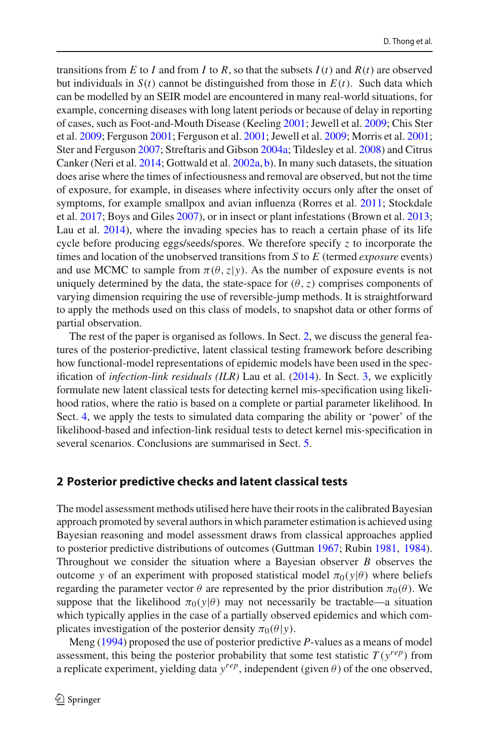transitions from *E* to *I* and from *I* to *R*, so that the subsets  $I(t)$  and  $R(t)$  are observed but individuals in  $S(t)$  cannot be distinguished from those in  $E(t)$ . Such data which can be modelled by an SEIR model are encountered in many real-world situations, for example, concerning diseases with long latent periods or because of delay in reporting of cases, such as Foot-and-Mouth Disease (Keelin[g](#page-20-1) [2001](#page-20-1); Jewell et al[.](#page-20-13) [2009;](#page-20-13) Chis Ster et al[.](#page-19-1) [2009](#page-19-1); Ferguso[n](#page-19-2) [2001;](#page-19-2) Ferguson et al[.](#page-19-3) [2001;](#page-19-3) Jewell et al[.](#page-20-2) [2009](#page-20-2); Morris et al[.](#page-20-3) [2001](#page-20-3); Ster and Ferguso[n](#page-21-1) [2007;](#page-21-1) Streftaris and Gibso[n](#page-21-2) [2004a](#page-21-2); Tildesley et al[.](#page-21-3) [2008](#page-21-3)) and Citrus Canker (Neri et al[.](#page-20-4) [2014;](#page-20-4) Gottwald et al[.](#page-20-5) [2002a](#page-20-5), [b\)](#page-20-6). In many such datasets, the situation does arise where the times of infectiousness and removal are observed, but not the time of exposure, for example, in diseases where infectivity occurs only after the onset of symptoms, for example smallpox and avian influenza (Rorres et al[.](#page-21-7) [2011](#page-21-7); Stockdale et al[.](#page-21-8) [2017;](#page-21-8) Boys and Gile[s](#page-19-8) [2007](#page-19-8)), or in insect or plant infestations (Brown et al[.](#page-19-9) [2013](#page-19-9); Lau et al[.](#page-20-8) [2014\)](#page-20-8), where the invading species has to reach a certain phase of its life cycle before producing eggs/seeds/spores. We therefore specify *z* to incorporate the times and location of the unobserved transitions from *S* to *E* (termed *exposure* events) and use MCMC to sample from  $\pi(\theta, z|y)$ . As the number of exposure events is not uniquely determined by the data, the state-space for  $(\theta, z)$  comprises components of varying dimension requiring the use of reversible-jump methods. It is straightforward to apply the methods used on this class of models, to snapshot data or other forms of partial observation.

The rest of the paper is organised as follows. In Sect. [2,](#page-4-0) we discuss the general features of the posterior-predictive, latent classical testing framework before describing how functional-model representations of epidemic models have been used in the specification of *infection-link residuals (ILR)* Lau et al[.](#page-20-8) [\(2014\)](#page-20-8). In Sect. [3,](#page-7-0) we explicitly formulate new latent classical tests for detecting kernel mis-specification using likelihood ratios, where the ratio is based on a complete or partial parameter likelihood. In Sect. [4,](#page-10-0) we apply the tests to simulated data comparing the ability or 'power' of the likelihood-based and infection-link residual tests to detect kernel mis-specification in several scenarios. Conclusions are summarised in Sect. [5.](#page-14-0)

#### <span id="page-4-0"></span>**2 Posterior predictive checks and latent classical tests**

The model assessment methods utilised here have their roots in the calibrated Bayesian approach promoted by several authors in which parameter estimation is achieved using Bayesian reasoning and model assessment draws from classical approaches applied to posterior predictive distributions of outcomes (Guttma[n](#page-20-15) [1967](#page-20-15); Rubi[n](#page-21-9) [1981](#page-21-9), [1984](#page-21-10)). Throughout we consider the situation where a Bayesian observer *B* observes the outcome *y* of an experiment with proposed statistical model  $\pi_0(y|\theta)$  where beliefs regarding the parameter vector  $\theta$  are represented by the prior distribution  $\pi_0(\theta)$ . We suppose that the likelihood  $\pi_0(y|\theta)$  may not necessarily be tractable—a situation which typically applies in the case of a partially observed epidemics and which complicates investigation of the posterior density  $\pi_0(\theta|\mathbf{y})$ .

Men[g](#page-20-9) [\(1994](#page-20-9)) proposed the use of posterior predictive *P*-values as a means of model assessment, this being the posterior probability that some test statistic  $T(v^{rep})$  from a replicate experiment, yielding data  $y^{rep}$ , independent (given  $\theta$ ) of the one observed,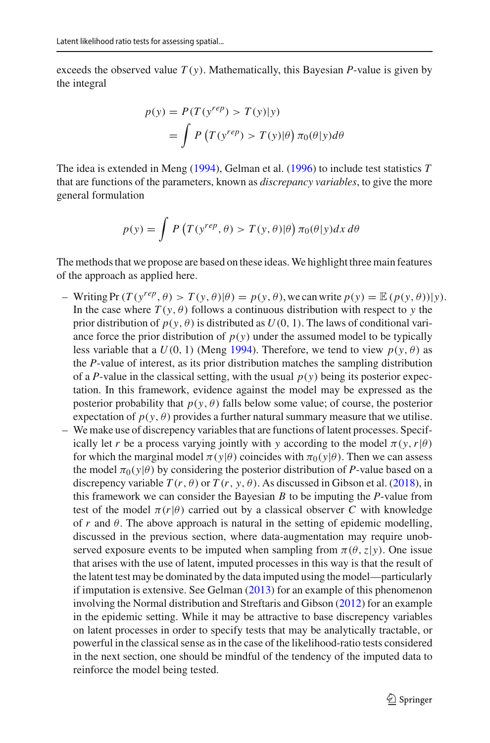exceeds the observed value  $T(y)$ . Mathematically, this Bayesian *P*-value is given by the integral

$$
p(y) = P(T(y^{rep}) > T(y)|y)
$$
  
= 
$$
\int P(T(y^{rep}) > T(y)|\theta) \pi_0(\theta|y) d\theta
$$

The idea is extended in Men[g](#page-20-9) [\(1994\)](#page-20-9), Gelman et al[.](#page-20-11) [\(1996](#page-20-11)) to include test statistics *T* that are functions of the parameters, known as *discrepancy variables*, to give the more general formulation

$$
p(y) = \int P\left(T(y^{rep}, \theta) > T(y, \theta)|\theta\right) \pi_0(\theta|y) dx d\theta
$$

The methods that we propose are based on these ideas.We highlight three main features of the approach as applied here.

- Writing  $Pr(T(y^{rep}, \theta) > T(y, \theta) | \theta) = p(y, \theta)$ , we can write  $p(y) = \mathbb{E}(p(y, \theta)) | y)$ . In the case where  $T(y, \theta)$  follows a continuous distribution with respect to *y* the prior distribution of  $p(y, \theta)$  is distributed as  $U(0, 1)$ . The laws of conditional variance force the prior distribution of  $p(y)$  under the assumed model to be typically less variable that a  $U(0, 1)$  (Men[g](#page-20-9) [1994](#page-20-9)). Therefore, we tend to view  $p(y, \theta)$  as the *P*-value of interest, as its prior distribution matches the sampling distribution of a *P*-value in the classical setting, with the usual  $p(y)$  being its posterior expectation. In this framework, evidence against the model may be expressed as the posterior probability that  $p(y, \theta)$  falls below some value; of course, the posterior expectation of  $p(y, \theta)$  provides a further natural summary measure that we utilise.
- We make use of discrepency variables that are functions of latent processes. Specifically let *r* be a process varying jointly with *y* according to the model  $\pi(y, r | \theta)$ for which the marginal model  $\pi(y|\theta)$  coincides with  $\pi_0(y|\theta)$ . Then we can assess the model  $\pi_0(y|\theta)$  by considering the posterior distribution of *P*-value based on a discrepency variable  $T(r, \theta)$  or  $T(r, y, \theta)$ [.](#page-20-7) As discussed in Gibson et al. [\(2018\)](#page-20-7), in this framework we can consider the Bayesian *B* to be imputing the *P*-value from test of the model  $\pi(r|\theta)$  carried out by a classical observer *C* with knowledge of  $r$  and  $\theta$ . The above approach is natural in the setting of epidemic modelling, discussed in the previous section, where data-augmentation may require unobserved exposure events to be imputed when sampling from  $\pi(\theta, z|y)$ . One issue that arises with the use of latent, imputed processes in this way is that the result of the latent test may be dominated by the data imputed using the model—particularly if imputation is extensive. See Gelma[n](#page-20-10) [\(2013](#page-20-10)) for an example of this phenomenon involving the Normal distribution and Streftaris and Gibso[n](#page-21-6) [\(2012](#page-21-6)) for an example in the epidemic setting. While it may be attractive to base discrepency variables on latent processes in order to specify tests that may be analytically tractable, or powerful in the classical sense as in the case of the likelihood-ratio tests considered in the next section, one should be mindful of the tendency of the imputed data to reinforce the model being tested.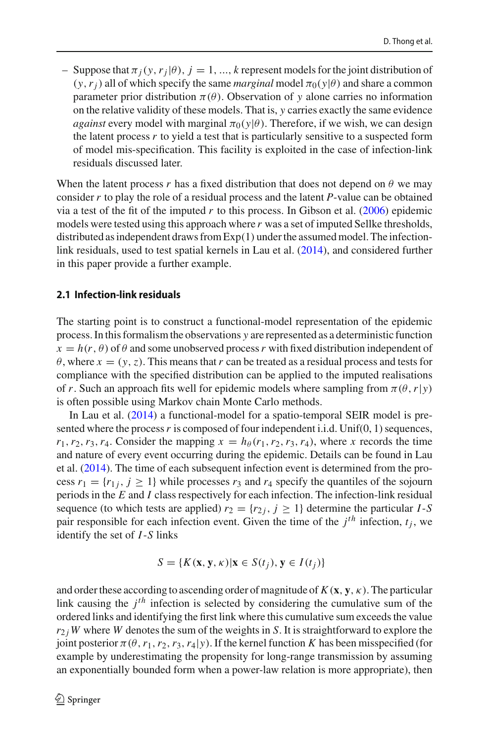– Suppose that  $\pi_i(y, r_i | \theta)$ ,  $j = 1, ..., k$  represent models for the joint distribution of  $(y, r_i)$  all of which specify the same *marginal* model  $\pi_0(y|\theta)$  and share a common parameter prior distribution  $\pi(\theta)$ . Observation of *y* alone carries no information on the relative validity of these models. That is, *y* carries exactly the same evidence *against* every model with marginal  $\pi_0(y|\theta)$ . Therefore, if we wish, we can design the latent process  $r$  to yield a test that is particularly sensitive to a suspected form of model mis-specification. This facility is exploited in the case of infection-link residuals discussed later.

When the latent process *r* has a fixed distribution that does not depend on  $\theta$  we may consider *r* to play the role of a residual process and the latent *P*-value can be obtained via a test of the fit of the imputed  $r$  to this process[.](#page-20-16) In Gibson et al.  $(2006)$  epidemic models were tested using this approach where *r* was a set of imputed Sellke thresholds, distributed as independent draws from Exp(1) under the assumed model. The infectionlink residuals, used to test spatial kernels in Lau et al[.](#page-20-8) [\(2014\)](#page-20-8), and considered further in this paper provide a further example.

#### **2.1 Infection-link residuals**

The starting point is to construct a functional-model representation of the epidemic process. In this formalism the observations *y* are represented as a deterministic function  $x = h(r, \theta)$  of  $\theta$  and some unobserved process *r* with fixed distribution independent of  $\theta$ , where  $x = (y, z)$ . This means that r can be treated as a residual process and tests for compliance with the specified distribution can be applied to the imputed realisations of *r*. Such an approach fits well for epidemic models where sampling from  $\pi(\theta, r|y)$ is often possible using Markov chain Monte Carlo methods.

In Lau et al[.](#page-20-8) [\(2014\)](#page-20-8) a functional-model for a spatio-temporal SEIR model is presented where the process r is composed of four independent i.i.d. Unif(0, 1) sequences,  $r_1, r_2, r_3, r_4$ . Consider the mapping  $x = h_\theta(r_1, r_2, r_3, r_4)$ , where *x* records the time and nature of every event occurring during the epidemic. Details can be found in Lau et al[.](#page-20-8) [\(2014](#page-20-8)). The time of each subsequent infection event is determined from the process  $r_1 = \{r_{1i}, j \ge 1\}$  while processes  $r_3$  and  $r_4$  specify the quantiles of the sojourn periods in the *E* and *I* class respectively for each infection. The infection-link residual sequence (to which tests are applied)  $r_2 = \{r_{2j}, j \ge 1\}$  determine the particular *I*-*S* pair responsible for each infection event. Given the time of the  $j<sup>th</sup>$  infection,  $t<sub>i</sub>$ , we identify the set of *I*-*S* links

$$
S = \{ K(\mathbf{x}, \mathbf{y}, \kappa) | \mathbf{x} \in S(t_j), \mathbf{y} \in I(t_j) \}
$$

and order these according to ascending order of magnitude of  $K(\mathbf{x}, \mathbf{y}, \kappa)$ . The particular link causing the *jth* infection is selected by considering the cumulative sum of the ordered links and identifying the first link where this cumulative sum exceeds the value  $r_{2i}$  *W* where *W* denotes the sum of the weights in *S*. It is straightforward to explore the joint posterior  $\pi(\theta, r_1, r_2, r_3, r_4|y)$ . If the kernel function *K* has been misspecified (for example by underestimating the propensity for long-range transmission by assuming an exponentially bounded form when a power-law relation is more appropriate), then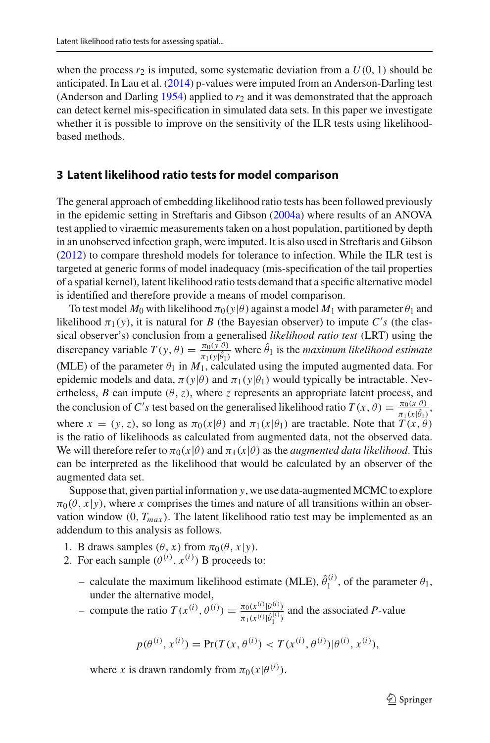when the process  $r_2$  is imputed, some systematic deviation from a  $U(0, 1)$  should be anticipated[.](#page-20-8) In Lau et al.  $(2014)$  p-values were imputed from an Anderson-Darling test (Anderson and Darlin[g](#page-19-10)  $1954$ ) applied to  $r<sub>2</sub>$  and it was demonstrated that the approach can detect kernel mis-specification in simulated data sets. In this paper we investigate whether it is possible to improve on the sensitivity of the ILR tests using likelihoodbased methods.

#### <span id="page-7-0"></span>**3 Latent likelihood ratio tests for model comparison**

The general approach of embedding likelihood ratio tests has been followed previously in the epidemic setting in Streftaris and Gibso[n](#page-21-2) [\(2004a\)](#page-21-2) where results of an ANOVA test applied to viraemic measurements taken on a host population, partitioned by depth in an unobserved infection graph, were imputed. It is also used in Streftaris and Gibso[n](#page-21-6) [\(2012\)](#page-21-6) to compare threshold models for tolerance to infection. While the ILR test is targeted at generic forms of model inadequacy (mis-specification of the tail properties of a spatial kernel), latent likelihood ratio tests demand that a specific alternative model is identified and therefore provide a means of model comparison.

To test model  $M_0$  with likelihood  $\pi_0(y|\theta)$  against a model  $M_1$  with parameter  $\theta_1$  and likelihood  $\pi_1(y)$ , it is natural for *B* (the Bayesian observer) to impute *C*'s (the classical observer's) conclusion from a generalised *likelihood ratio test* (LRT) using the discrepancy variable  $T(y, \theta) = \frac{\pi_0(y|\theta)}{\pi_1(y|\hat{\theta}_1)}$  where  $\hat{\theta}_1$  is the *maximum likelihood estimate* (MLE) of the parameter  $\theta_1$  in  $M_1$ , calculated using the imputed augmented data. For epidemic models and data,  $\pi(y|\theta)$  and  $\pi_1(y|\theta_1)$  would typically be intractable. Nevertheless, *B* can impute  $(\theta, z)$ , where *z* represents an appropriate latent process, and the conclusion of *C*'s test based on the generalised likelihood ratio  $T(x, \theta) = \frac{\pi_0(x|\theta)}{\pi_1(x|\theta_1)},$ where  $x = (y, z)$ , so long as  $\pi_0(x|\theta)$  and  $\pi_1(x|\theta_1)$  are tractable. Note that  $T(x, \theta)$ is the ratio of likelihoods as calculated from augmented data, not the observed data. We will therefore refer to  $\pi_0(x|\theta)$  and  $\pi_1(x|\theta)$  as the *augmented data likelihood*. This can be interpreted as the likelihood that would be calculated by an observer of the augmented data set.

Suppose that, given partial information *y*, we use data-augmented MCMC to explore  $\pi_0(\theta, x|y)$ , where *x* comprises the times and nature of all transitions within an observation window  $(0, T_{max})$ . The latent likelihood ratio test may be implemented as an addendum to this analysis as follows.

- 1. B draws samples  $(\theta, x)$  from  $\pi_0(\theta, x|y)$ .
- 2. For each sample  $(\theta^{(i)}, x^{(i)})$  B proceeds to:
	- calculate the maximum likelihood estimate (MLE),  $\hat{\theta}_1^{(i)}$ , of the parameter  $\theta_1$ , under the alternative model,
	- compute the ratio  $T(x^{(i)}, \theta^{(i)}) = \frac{\pi_0(x^{(i)} | \theta^{(i)})}{\pi_1(x^{(i)} | \hat{\theta}^{(i)})}$  $\frac{\pi_0(x^{\kappa}|\theta^{(\kappa)})}{\pi_1(x^{(i)}|\hat{\theta}_1^{(i)})}$  and the associated *P*-value

$$
p(\theta^{(i)}, x^{(i)}) = \Pr(T(x, \theta^{(i)}) < T(x^{(i)}, \theta^{(i)}) | \theta^{(i)}, x^{(i)}),
$$

where *x* is drawn randomly from  $\pi_0(x|\theta^{(i)})$ .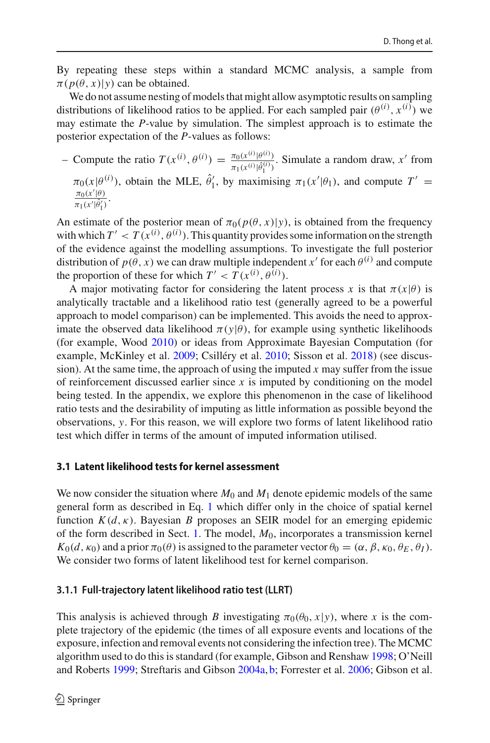By repeating these steps within a standard MCMC analysis, a sample from  $\pi(p(\theta, x)|y)$  can be obtained.

We do not assume nesting of models that might allow asymptotic results on sampling distributions of likelihood ratios to be applied. For each sampled pair  $(\theta^{(i)}, x^{(i)})$  we may estimate the *P*-value by simulation. The simplest approach is to estimate the posterior expectation of the *P*-values as follows:

- Compute the ratio  $T(x^{(i)}, \theta^{(i)}) = \frac{\pi_0(x^{(i)} | \theta^{(i)})}{\pi_1(x^{(i)} | \hat{\theta}^{(i)})}$  $\frac{\pi_0(x \cdot |\theta|)}{\pi_1(x^{(i)}|\hat{\theta}_1^{(i)})}$ . Simulate a random draw, *x'* from  $\pi_0(x|\theta^{(i)})$ , obtain the MLE,  $\hat{\theta}'_1$ , by maximising  $\pi_1(x'|\theta_1)$ , and compute  $T' =$  $\frac{\pi_0(x'|\theta)}{2}$  $\frac{\pi_0(x|\theta)}{\pi_1(x'|\hat{\theta}'_1)}$ .

An estimate of the posterior mean of  $\pi_0(p(\theta, x)|y)$ , is obtained from the frequency with which  $T' < T(x^{(i)}, \theta^{(i)})$ . This quantity provides some information on the strength of the evidence against the modelling assumptions. To investigate the full posterior distribution of  $p(\theta, x)$  we can draw multiple independent *x'* for each  $\theta^{(i)}$  and compute the proportion of these for which  $T' < T(x^{(i)}, \theta^{(i)})$ .

A major motivating factor for considering the latent process x is that  $\pi(x|\theta)$  is analytically tractable and a likelihood ratio test (generally agreed to be a powerful approach to model comparison) can be implemented. This avoids the need to approximate the observed data likelihood  $\pi(y|\theta)$ , for example using synthetic likelihoods (for example, Woo[d](#page-21-11) [2010\)](#page-21-11) or ideas from Approximate Bayesian Computation (for example, McKinley et al[.](#page-20-17) [2009](#page-20-17); Csilléry et al[.](#page-19-11) [2010;](#page-19-11) Sisson et al[.](#page-21-12) [2018\)](#page-21-12) (see discussion). At the same time, the approach of using the imputed  $x$  may suffer from the issue of reinforcement discussed earlier since  $x$  is imputed by conditioning on the model being tested. In the appendix, we explore this phenomenon in the case of likelihood ratio tests and the desirability of imputing as little information as possible beyond the observations, *y*. For this reason, we will explore two forms of latent likelihood ratio test which differ in terms of the amount of imputed information utilised.

#### **3.1 Latent likelihood tests for kernel assessment**

We now consider the situation where  $M_0$  and  $M_1$  denote epidemic models of the same general form as described in Eq. [1](#page-3-0) which differ only in the choice of spatial kernel function  $K(d, \kappa)$ . Bayesian *B* proposes an SEIR model for an emerging epidemic of the form described in Sect. [1.](#page-2-0) The model, *M*0, incorporates a transmission kernel  $K_0(d, \kappa_0)$  and a prior  $\pi_0(\theta)$  is assigned to the parameter vector  $\theta_0 = (\alpha, \beta, \kappa_0, \theta_E, \theta_I)$ . We consider two forms of latent likelihood test for kernel comparison.

#### **3.1.1 Full-trajectory latent likelihood ratio test (LLRT)**

This analysis is achieved through *B* investigating  $\pi_0(\theta_0, x|y)$ , where *x* is the complete trajectory of the epidemic (the times of all exposure events and locations of the exposure, infection and removal events not considering the infection tree). The MCMC algorithm used to do this is standard (for example, Gibson and Rensha[w](#page-20-18) [1998;](#page-20-18) O'Neill and Robert[s](#page-20-19) [1999](#page-20-19); Streftaris and Gibso[n](#page-21-2) [2004a,](#page-21-2) [b;](#page-21-13) Forrester et al[.](#page-20-20) [2006](#page-20-20); Gibson et al[.](#page-20-16)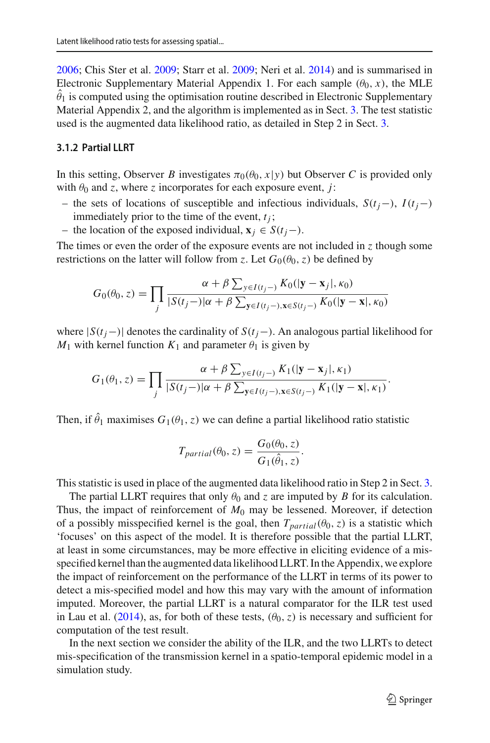[2006;](#page-20-16) Chis Ster et al[.](#page-19-1) [2009](#page-19-1); Starr et al[.](#page-21-14) [2009](#page-21-14); Neri et al[.](#page-20-4) [2014\)](#page-20-4) and is summarised in Electronic Supplementary Material Appendix 1. For each sample  $(\theta_0, x)$ , the MLE  $\theta_1$  is computed using the optimisation routine described in Electronic Supplementary Material Appendix 2, and the algorithm is implemented as in Sect. [3.](#page-7-0) The test statistic used is the augmented data likelihood ratio, as detailed in Step 2 in Sect. [3.](#page-7-0)

#### **3.1.2 Partial LLRT**

In this setting, Observer *B* investigates  $\pi_0(\theta_0, x|y)$  but Observer *C* is provided only with  $\theta_0$  and *z*, where *z* incorporates for each exposure event, *j*:

- the sets of locations of susceptible and infectious individuals, *S*(*tj*−), *I*(*tj*−) immediately prior to the time of the event,  $t_i$ ;
- the location of the exposed individual, **x***<sup>j</sup>* ∈ *S*(*tj*−).

The times or even the order of the exposure events are not included in *z* though some restrictions on the latter will follow from *z*. Let  $G_0(\theta_0, z)$  be defined by

$$
G_0(\theta_0, z) = \prod_j \frac{\alpha + \beta \sum_{y \in I(t_j -)} K_0(|\mathbf{y} - \mathbf{x}_j|, \kappa_0)}{|S(t_j -)|\alpha + \beta \sum_{\mathbf{y} \in I(t_j -), \mathbf{x} \in S(t_j -)} K_0(|\mathbf{y} - \mathbf{x}|, \kappa_0)|}
$$

where  $|S(t_j-)|$  denotes the cardinality of  $S(t_j-)$ . An analogous partial likelihood for  $M_1$  with kernel function  $K_1$  and parameter  $\theta_1$  is given by

$$
G_1(\theta_1, z) = \prod_j \frac{\alpha + \beta \sum_{y \in I(t_j -)} K_1(|\mathbf{y} - \mathbf{x}_j|, \kappa_1)}{|S(t_j -)|\alpha + \beta \sum_{\mathbf{y} \in I(t_j -), \mathbf{x} \in S(t_j -)} K_1(|\mathbf{y} - \mathbf{x}|, \kappa_1)}.
$$

Then, if  $\theta_1$  maximises  $G_1(\theta_1, z)$  we can define a partial likelihood ratio statistic

$$
T_{partial}(\theta_0, z) = \frac{G_0(\theta_0, z)}{G_1(\hat{\theta}_1, z)}.
$$

This statistic is used in place of the augmented data likelihood ratio in Step 2 in Sect. [3.](#page-7-0)

The partial LLRT requires that only  $\theta_0$  and *z* are imputed by *B* for its calculation. Thus, the impact of reinforcement of  $M_0$  may be lessened. Moreover, if detection of a possibly misspecified kernel is the goal, then  $T_{partial}(\theta_0, z)$  is a statistic which 'focuses' on this aspect of the model. It is therefore possible that the partial LLRT, at least in some circumstances, may be more effective in eliciting evidence of a misspecified kernel than the augmented data likelihood LLRT. In the Appendix, we explore the impact of reinforcement on the performance of the LLRT in terms of its power to detect a mis-specified model and how this may vary with the amount of information imputed. Moreover, the partial LLRT is a natural comparator for the ILR test used in Lau et al[.](#page-20-8) [\(2014](#page-20-8)), as, for both of these tests,  $(\theta_0, z)$  is necessary and sufficient for computation of the test result.

In the next section we consider the ability of the ILR, and the two LLRTs to detect mis-specification of the transmission kernel in a spatio-temporal epidemic model in a simulation study.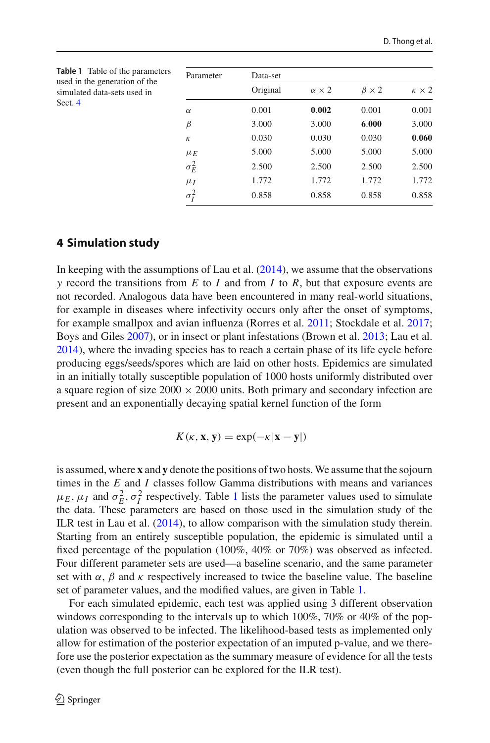<span id="page-10-1"></span>

| <b>Table 1</b> Table of the parameters<br>used in the generation of the<br>simulated data-sets used in<br>Sect. 4 | Parameter    | Data-set |                   |                  |                   |
|-------------------------------------------------------------------------------------------------------------------|--------------|----------|-------------------|------------------|-------------------|
|                                                                                                                   |              | Original | $\alpha \times 2$ | $\beta \times 2$ | $\kappa \times 2$ |
|                                                                                                                   | $\alpha$     | 0.001    | 0.002             | 0.001            | 0.001             |
|                                                                                                                   | $\beta$      | 3.000    | 3.000             | 6.000            | 3.000             |
|                                                                                                                   | К            | 0.030    | 0.030             | 0.030            | 0.060             |
|                                                                                                                   | $\mu_E$      | 5.000    | 5.000             | 5.000            | 5.000             |
|                                                                                                                   | $\sigma_E^2$ | 2.500    | 2.500             | 2.500            | 2.500             |
|                                                                                                                   | $\mu_I$      | 1.772    | 1.772             | 1.772            | 1.772             |
|                                                                                                                   | $\sigma_i^2$ | 0.858    | 0.858             | 0.858            | 0.858             |

#### <span id="page-10-0"></span>**4 Simulation study**

In keeping with the assumptions of Lau et al[.](#page-20-8)  $(2014)$  $(2014)$ , we assume that the observations *y* record the transitions from *E* to *I* and from *I* to *R*, but that exposure events are not recorded. Analogous data have been encountered in many real-world situations, for example in diseases where infectivity occurs only after the onset of symptoms, for example smallpox and avian influenza (Rorres et al[.](#page-21-7) [2011;](#page-21-7) Stockdale et al[.](#page-21-8) [2017](#page-21-8); Boys and Gile[s](#page-19-8) [2007\)](#page-19-8), or in insect or plant infestations (Brown et al[.](#page-19-9) [2013](#page-19-9); Lau et al[.](#page-20-8) [2014\)](#page-20-8), where the invading species has to reach a certain phase of its life cycle before producing eggs/seeds/spores which are laid on other hosts. Epidemics are simulated in an initially totally susceptible population of 1000 hosts uniformly distributed over a square region of size  $2000 \times 2000$  units. Both primary and secondary infection are present and an exponentially decaying spatial kernel function of the form

$$
K(\kappa, \mathbf{x}, \mathbf{y}) = \exp(-\kappa |\mathbf{x} - \mathbf{y}|)
$$

is assumed, where **x** and **y** denote the positions of two hosts.We assume that the sojourn times in the *E* and *I* classes follow Gamma distributions with means and variances  $\mu_E$ ,  $\mu_I$  and  $\sigma_E^2$ ,  $\sigma_I^2$  respectively. Table [1](#page-10-1) lists the parameter values used to simulate the data. These parameters are based on those used in the simulation study of the ILR test in Lau et al[.](#page-20-8) [\(2014](#page-20-8)), to allow comparison with the simulation study therein. Starting from an entirely susceptible population, the epidemic is simulated until a fixed percentage of the population (100%, 40% or 70%) was observed as infected. Four different parameter sets are used—a baseline scenario, and the same parameter set with  $\alpha$ ,  $\beta$  and  $\kappa$  respectively increased to twice the baseline value. The baseline set of parameter values, and the modified values, are given in Table [1.](#page-10-1)

For each simulated epidemic, each test was applied using 3 different observation windows corresponding to the intervals up to which 100%, 70% or 40% of the population was observed to be infected. The likelihood-based tests as implemented only allow for estimation of the posterior expectation of an imputed p-value, and we therefore use the posterior expectation as the summary measure of evidence for all the tests (even though the full posterior can be explored for the ILR test).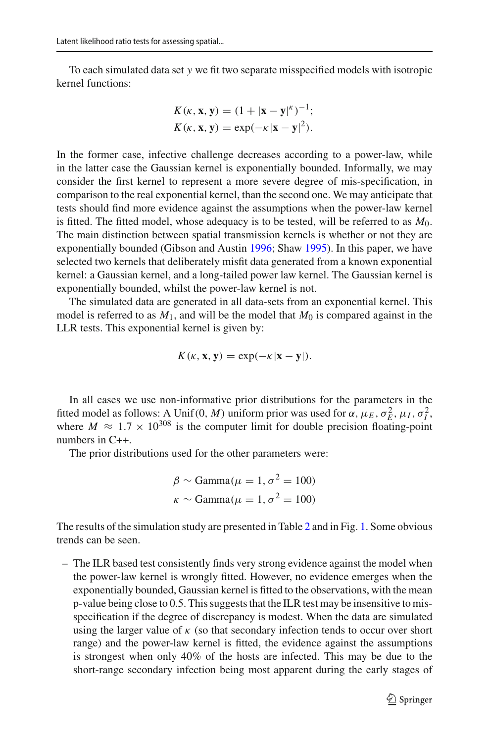To each simulated data set *y* we fit two separate misspecified models with isotropic kernel functions:

$$
K(\kappa, \mathbf{x}, \mathbf{y}) = (1 + |\mathbf{x} - \mathbf{y}|^{\kappa})^{-1};
$$
  

$$
K(\kappa, \mathbf{x}, \mathbf{y}) = \exp(-\kappa |\mathbf{x} - \mathbf{y}|^{2}).
$$

In the former case, infective challenge decreases according to a power-law, while in the latter case the Gaussian kernel is exponentially bounded. Informally, we may consider the first kernel to represent a more severe degree of mis-specification, in comparison to the real exponential kernel, than the second one. We may anticipate that tests should find more evidence against the assumptions when the power-law kernel is fitted. The fitted model, whose adequacy is to be tested, will be referred to as  $M_0$ . The main distinction between spatial transmission kernels is whether or not they are exponentially bounded (Gibson and Austi[n](#page-20-0) [1996;](#page-20-0) Sha[w](#page-21-15) [1995](#page-21-15)). In this paper, we have selected two kernels that deliberately misfit data generated from a known exponential kernel: a Gaussian kernel, and a long-tailed power law kernel. The Gaussian kernel is exponentially bounded, whilst the power-law kernel is not.

The simulated data are generated in all data-sets from an exponential kernel. This model is referred to as  $M_1$ , and will be the model that  $M_0$  is compared against in the LLR tests. This exponential kernel is given by:

$$
K(\kappa, \mathbf{x}, \mathbf{y}) = \exp(-\kappa |\mathbf{x} - \mathbf{y}|).
$$

In all cases we use non-informative prior distributions for the parameters in the fitted model as follows: A Unif(0, *M*) uniform prior was used for  $\alpha$ ,  $\mu_E$ ,  $\sigma_E^2$ ,  $\mu_I$ ,  $\sigma_I^2$ , where  $M \approx 1.7 \times 10^{308}$  is the computer limit for double precision floating-point numbers in C++.

The prior distributions used for the other parameters were:

$$
\beta \sim \text{Gamma}(\mu = 1, \sigma^2 = 100)
$$
  

$$
\kappa \sim \text{Gamma}(\mu = 1, \sigma^2 = 100)
$$

The results of the simulation study are presented in Table [2](#page-12-0) and in Fig. [1.](#page-14-1) Some obvious trends can be seen.

– The ILR based test consistently finds very strong evidence against the model when the power-law kernel is wrongly fitted. However, no evidence emerges when the exponentially bounded, Gaussian kernel is fitted to the observations, with the mean p-value being close to 0.5. This suggests that the ILR test may be insensitive to misspecification if the degree of discrepancy is modest. When the data are simulated using the larger value of  $\kappa$  (so that secondary infection tends to occur over short range) and the power-law kernel is fitted, the evidence against the assumptions is strongest when only 40% of the hosts are infected. This may be due to the short-range secondary infection being most apparent during the early stages of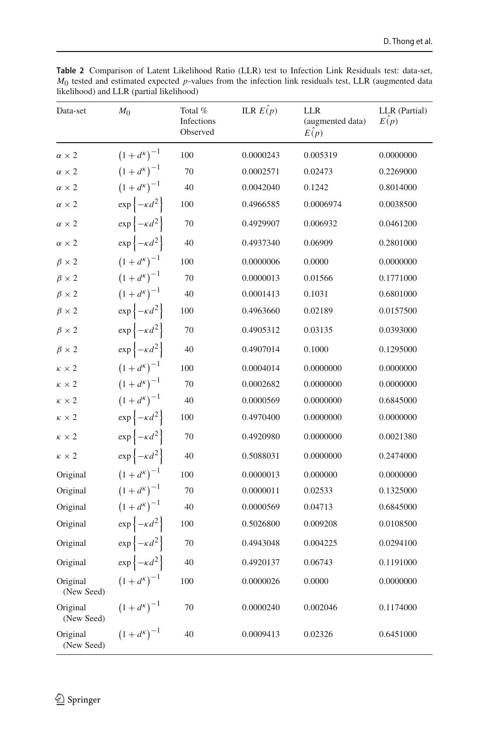| Data-set               | M <sub>0</sub>                   | Total %<br>Infections<br>Observed | ILR $E(\hat{p})$ | LLR<br>(augmented data)<br>$E(\rho)$ | LLR (Partial)<br>E(p) |
|------------------------|----------------------------------|-----------------------------------|------------------|--------------------------------------|-----------------------|
| $\alpha \times 2$      | $(1+d^{\kappa})^{-1}$            | 100                               | 0.0000243        | 0.005319                             | 0.0000000             |
| $\alpha \times 2$      | $(1+d^{k})^{-1}$                 | 70                                | 0.0002571        | 0.02473                              | 0.2269000             |
| $\alpha \times 2$      | $(1+d^{k})^{-1}$                 | 40                                | 0.0042040        | 0.1242                               | 0.8014000             |
| $\alpha \times 2$      | $\exp\left\{-\kappa d^2\right\}$ | 100                               | 0.4966585        | 0.0006974                            | 0.0038500             |
| $\alpha \times 2$      | $\exp\left\{-\kappa d^2\right\}$ | 70                                | 0.4929907        | 0.006932                             | 0.0461200             |
| $\alpha \times 2$      | $\exp\left\{-\kappa d^2\right\}$ | 40                                | 0.4937340        | 0.06909                              | 0.2801000             |
| $\beta \times 2$       | $(1+d^{k})^{-1}$                 | 100                               | 0.0000006        | 0.0000                               | 0.0000000             |
| $\beta \times 2$       | $(1+d^{k})^{-1}$                 | 70                                | 0.0000013        | 0.01566                              | 0.1771000             |
| $\beta \times 2$       | $(1+d^{k})^{-1}$                 | 40                                | 0.0001413        | 0.1031                               | 0.6801000             |
| $\beta \times 2$       | $\exp\left\{-\kappa d^2\right\}$ | 100                               | 0.4963660        | 0.02189                              | 0.0157500             |
| $\beta \times 2$       | $\exp\left\{-\kappa d^2\right\}$ | 70                                | 0.4905312        | 0.03135                              | 0.0393000             |
| $\beta \times 2$       | $\exp\left\{-\kappa d^2\right\}$ | 40                                | 0.4907014        | 0.1000                               | 0.1295000             |
| $\kappa \times 2$      | $(1+d^{k})^{-1}$                 | 100                               | 0.0004014        | 0.0000000                            | 0.0000000             |
| $\kappa \times 2$      | $(1+d^{\kappa})^{-1}$            | 70                                | 0.0002682        | 0.0000000                            | 0.0000000             |
| $\kappa \times 2$      | $(1+d^{k})^{-1}$                 | 40                                | 0.0000569        | 0.0000000                            | 0.6845000             |
| $\kappa \times 2$      | $\exp\left\{-\kappa d^2\right\}$ | 100                               | 0.4970400        | 0.0000000                            | 0.0000000             |
| $\kappa \times 2$      | $\exp\left\{-\kappa d^2\right\}$ | 70                                | 0.4920980        | 0.0000000                            | 0.0021380             |
| $\kappa \times 2$      | $\exp\left\{-\kappa d^2\right\}$ | 40                                | 0.5088031        | 0.0000000                            | 0.2474000             |
| Original               | $(1+d^{k})^{-1}$                 | 100                               | 0.0000013        | 0.000000                             | 0.0000000             |
| Original               | $(1+d^{k})^{-1}$                 | 70                                | 0.0000011        | 0.02533                              | 0.1325000             |
| Original               | $(1+d^{k})^{-1}$                 | 40                                | 0.0000569        | 0.04713                              | 0.6845000             |
| Original               | $\exp\left\{-\kappa d^2\right\}$ | 100                               | 0.5026800        | 0.009208                             | 0.0108500             |
| Original               | $\exp\left\{-\kappa d^2\right\}$ | 70                                | 0.4943048        | 0.004225                             | 0.0294100             |
| Original               | $\exp\left\{-\kappa d^2\right\}$ | 40                                | 0.4920137        | 0.06743                              | 0.1191000             |
| Original<br>(New Seed) | $(1+d^{\kappa})^{-1}$            | 100                               | 0.0000026        | 0.0000                               | 0.0000000             |
| Original<br>(New Seed) | $(1+d^{k})^{-1}$                 | 70                                | 0.0000240        | 0.002046                             | 0.1174000             |
| Original<br>(New Seed) | $(1+d^{\kappa})^{-1}$            | 40                                | 0.0009413        | 0.02326                              | 0.6451000             |

<span id="page-12-0"></span>**Table 2** Comparison of Latent Likelihood Ratio (LLR) test to Infection Link Residuals test: data-set, *M*0 tested and estimated expected *p*-values from the infection link residuals test, LLR (augmented data likelihood) and LLR (partial likelihood)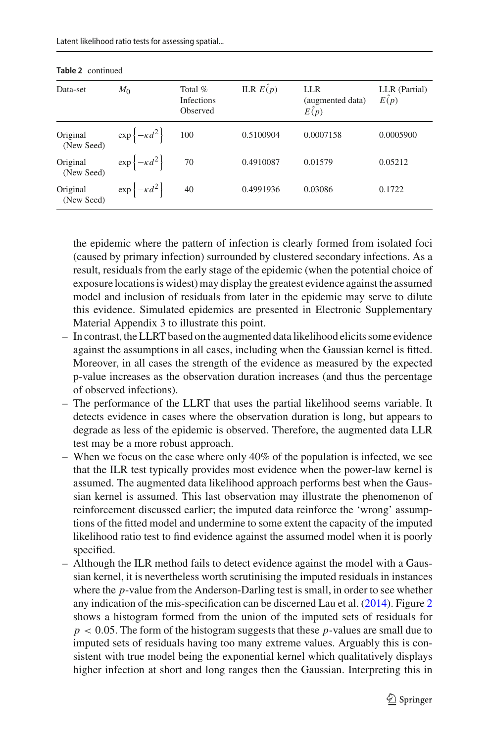| Data-set               | $M_{0}$                          | Total $%$<br><b>Infections</b><br>Observed | ILR $E(p)$ | <b>LLR</b><br>(augmented data)<br>E(p) | LLR (Partial)<br>E(p) |
|------------------------|----------------------------------|--------------------------------------------|------------|----------------------------------------|-----------------------|
| Original<br>(New Seed) | $\exp\left\{-\kappa d^2\right\}$ | 100                                        | 0.5100904  | 0.0007158                              | 0.0005900             |
| Original<br>(New Seed) | $\exp\left\{-\kappa d^2\right\}$ | 70                                         | 0.4910087  | 0.01579                                | 0.05212               |
| Original<br>(New Seed) | $\exp\left\{-\kappa d^2\right\}$ | 40                                         | 0.4991936  | 0.03086                                | 0.1722                |

**Table 2** continued

the epidemic where the pattern of infection is clearly formed from isolated foci (caused by primary infection) surrounded by clustered secondary infections. As a result, residuals from the early stage of the epidemic (when the potential choice of exposure locations is widest) may display the greatest evidence against the assumed model and inclusion of residuals from later in the epidemic may serve to dilute this evidence. Simulated epidemics are presented in Electronic Supplementary Material Appendix 3 to illustrate this point.

- In contrast, the LLRT based on the augmented data likelihood elicits some evidence against the assumptions in all cases, including when the Gaussian kernel is fitted. Moreover, in all cases the strength of the evidence as measured by the expected p-value increases as the observation duration increases (and thus the percentage of observed infections).
- The performance of the LLRT that uses the partial likelihood seems variable. It detects evidence in cases where the observation duration is long, but appears to degrade as less of the epidemic is observed. Therefore, the augmented data LLR test may be a more robust approach.
- When we focus on the case where only 40% of the population is infected, we see that the ILR test typically provides most evidence when the power-law kernel is assumed. The augmented data likelihood approach performs best when the Gaussian kernel is assumed. This last observation may illustrate the phenomenon of reinforcement discussed earlier; the imputed data reinforce the 'wrong' assumptions of the fitted model and undermine to some extent the capacity of the imputed likelihood ratio test to find evidence against the assumed model when it is poorly specified.
- Although the ILR method fails to detect evidence against the model with a Gaussian kernel, it is nevertheless worth scrutinising the imputed residuals in instances where the *p*-value from the Anderson-Darling test is small, in order to see whether any indication of the mis-specification can be discerned Lau et al[.](#page-20-8) [\(2014](#page-20-8)). Figure [2](#page-15-0) shows a histogram formed from the union of the imputed sets of residuals for *p* < 0.05. The form of the histogram suggests that these *p*-values are small due to imputed sets of residuals having too many extreme values. Arguably this is consistent with true model being the exponential kernel which qualitatively displays higher infection at short and long ranges then the Gaussian. Interpreting this in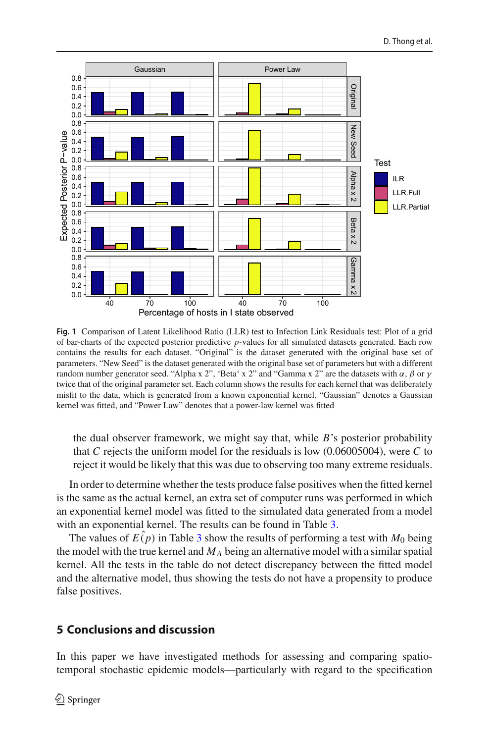

<span id="page-14-1"></span>**Fig. 1** Comparison of Latent Likelihood Ratio (LLR) test to Infection Link Residuals test: Plot of a grid of bar-charts of the expected posterior predictive *p*-values for all simulated datasets generated. Each row contains the results for each dataset. "Original" is the dataset generated with the original base set of parameters. "New Seed" is the dataset generated with the original base set of parameters but with a different random number generator seed. "Alpha x 2", 'Beta' x 2" and "Gamma x 2" are the datasets with α, β or  $\nu$ twice that of the original parameter set. Each column shows the results for each kernel that was deliberately misfit to the data, which is generated from a known exponential kernel. "Gaussian" denotes a Gaussian kernel was fitted, and "Power Law" denotes that a power-law kernel was fitted

the dual observer framework, we might say that, while *B*'s posterior probability that *C* rejects the uniform model for the residuals is low (0.06005004), were *C* to reject it would be likely that this was due to observing too many extreme residuals.

In order to determine whether the tests produce false positives when the fitted kernel is the same as the actual kernel, an extra set of computer runs was performed in which an exponential kernel model was fitted to the simulated data generated from a model with an exponential kernel. The results can be found in Table [3.](#page-15-1)

The values of  $E(p)$  in Table [3](#page-15-1) show the results of performing a test with  $M_0$  being the model with the true kernel and  $M_A$  being an alternative model with a similar spatial kernel. All the tests in the table do not detect discrepancy between the fitted model and the alternative model, thus showing the tests do not have a propensity to produce false positives.

### <span id="page-14-0"></span>**5 Conclusions and discussion**

In this paper we have investigated methods for assessing and comparing spatiotemporal stochastic epidemic models—particularly with regard to the specification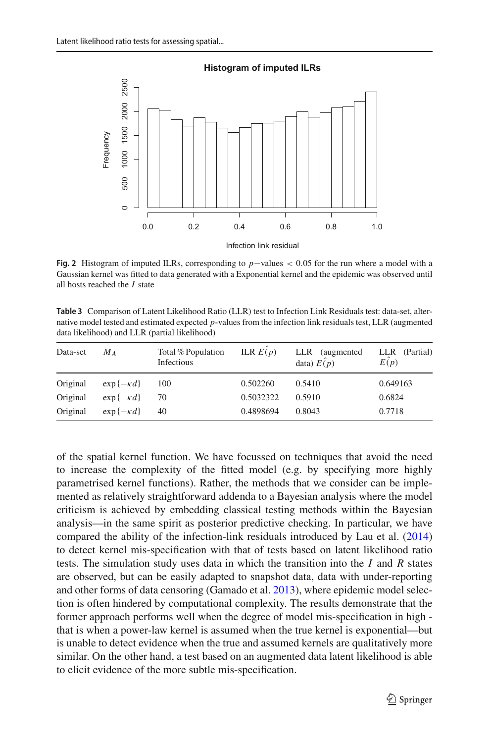

Infection link residual

<span id="page-15-0"></span>**Fig. 2** Histogram of imputed ILRs, corresponding to *p*−values < 0.05 for the run where a model with a Gaussian kernel was fitted to data generated with a Exponential kernel and the epidemic was observed until all hosts reached the *I* state

<span id="page-15-1"></span>**Table 3** Comparison of Latent Likelihood Ratio (LLR) test to Infection Link Residuals test: data-set, alternative model tested and estimated expected *p*-values from the infection link residuals test, LLR (augmented data likelihood) and LLR (partial likelihood)

| Data-set | $M_A$               | Total % Population<br>Infectious | ILR $E(p)$ | LLR (augmented)<br>data) $E(p)$ | LLR (Partial)<br>E(p) |
|----------|---------------------|----------------------------------|------------|---------------------------------|-----------------------|
| Original | $\exp\{-\kappa d\}$ | 100                              | 0.502260   | 0.5410                          | 0.649163              |
| Original | $\exp\{-\kappa d\}$ | 70                               | 0.5032322  | 0.5910                          | 0.6824                |
| Original | $\exp\{-\kappa d\}$ | 40                               | 0.4898694  | 0.8043                          | 0.7718                |

of the spatial kernel function. We have focussed on techniques that avoid the need to increase the complexity of the fitted model (e.g. by specifying more highly parametrised kernel functions). Rather, the methods that we consider can be implemented as relatively straightforward addenda to a Bayesian analysis where the model criticism is achieved by embedding classical testing methods within the Bayesian analysis—in the same spirit as posterior predictive checking. In particular, we have compared the ability of the infection-link residuals introduced by Lau et al[.](#page-20-8) [\(2014\)](#page-20-8) to detect kernel mis-specification with that of tests based on latent likelihood ratio tests. The simulation study uses data in which the transition into the *I* and *R* states are observed, but can be easily adapted to snapshot data, data with under-reporting and other forms of data censoring (Gamado et al[.](#page-20-21) [2013\)](#page-20-21), where epidemic model selection is often hindered by computational complexity. The results demonstrate that the former approach performs well when the degree of model mis-specification in high that is when a power-law kernel is assumed when the true kernel is exponential—but is unable to detect evidence when the true and assumed kernels are qualitatively more similar. On the other hand, a test based on an augmented data latent likelihood is able to elicit evidence of the more subtle mis-specification.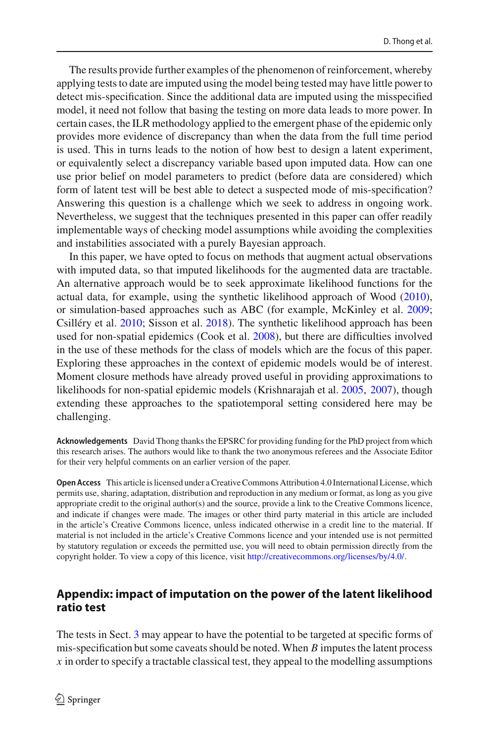The results provide further examples of the phenomenon of reinforcement, whereby applying tests to date are imputed using the model being tested may have little power to detect mis-specification. Since the additional data are imputed using the misspecified model, it need not follow that basing the testing on more data leads to more power. In certain cases, the ILR methodology applied to the emergent phase of the epidemic only provides more evidence of discrepancy than when the data from the full time period is used. This in turns leads to the notion of how best to design a latent experiment, or equivalently select a discrepancy variable based upon imputed data. How can one use prior belief on model parameters to predict (before data are considered) which form of latent test will be best able to detect a suspected mode of mis-specification? Answering this question is a challenge which we seek to address in ongoing work. Nevertheless, we suggest that the techniques presented in this paper can offer readily implementable ways of checking model assumptions while avoiding the complexities and instabilities associated with a purely Bayesian approach.

In this paper, we have opted to focus on methods that augment actual observations with imputed data, so that imputed likelihoods for the augmented data are tractable. An alternative approach would be to seek approximate likelihood functions for the actual data, for example, using the synthetic likelihood approach of Woo[d](#page-21-11) [\(2010](#page-21-11)), or simulation-based approaches such as ABC (for example, McKinley et al[.](#page-20-17) [2009](#page-20-17); Csilléry et al[.](#page-19-11) [2010;](#page-19-11) Sisson et al[.](#page-21-12) [2018\)](#page-21-12). The synthetic likelihood approach has been used for non-spatial epidemics (Cook et al[.](#page-19-12) [2008\)](#page-19-12), but there are difficulties involved in the use of these methods for the class of models which are the focus of this paper. Exploring these approaches in the context of epidemic models would be of interest. Moment closure methods have already proved useful in providing approximations to likelihoods for non-spatial epidemic models (Krishnarajah et al[.](#page-20-22) [2005](#page-20-22), [2007](#page-20-23)), though extending these approaches to the spatiotemporal setting considered here may be challenging.

**Acknowledgements** David Thong thanks the EPSRC for providing funding for the PhD project from which this research arises. The authors would like to thank the two anonymous referees and the Associate Editor for their very helpful comments on an earlier version of the paper.

**Open Access** This article is licensed under a Creative Commons Attribution 4.0 International License, which permits use, sharing, adaptation, distribution and reproduction in any medium or format, as long as you give appropriate credit to the original author(s) and the source, provide a link to the Creative Commons licence, and indicate if changes were made. The images or other third party material in this article are included in the article's Creative Commons licence, unless indicated otherwise in a credit line to the material. If material is not included in the article's Creative Commons licence and your intended use is not permitted by statutory regulation or exceeds the permitted use, you will need to obtain permission directly from the copyright holder. To view a copy of this licence, visit [http://creativecommons.org/licenses/by/4.0/.](http://creativecommons.org/licenses/by/4.0/)

# **Appendix: impact of imputation on the power of the latent likelihood ratio test**

The tests in Sect. [3](#page-7-0) may appear to have the potential to be targeted at specific forms of mis-specification but some caveats should be noted. When *B* imputes the latent process *x* in order to specify a tractable classical test, they appeal to the modelling assumptions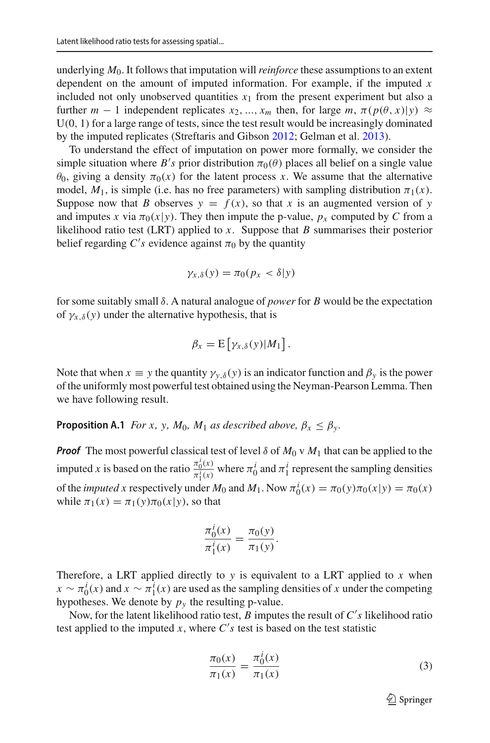underlying *M*0. It follows that imputation will*reinforce* these assumptions to an extent dependent on the amount of imputed information. For example, if the imputed *x* included not only unobserved quantities  $x_1$  from the present experiment but also a further  $m - 1$  independent replicates  $x_2, ..., x_m$  then, for large  $m, \pi(p(\theta, x)|y) \approx$  $U(0, 1)$  for a large range of tests, since the test result would be increasingly dominated by the imputed replicates (Streftaris and Gibso[n](#page-21-6) [2012](#page-21-6); Gelman et al[.](#page-20-24) [2013](#page-20-24)).

To understand the effect of imputation on power more formally, we consider the simple situation where  $B$ 's prior distribution  $\pi_0(\theta)$  places all belief on a single value  $\theta_0$ , giving a density  $\pi_0(x)$  for the latent process x. We assume that the alternative model,  $M_1$ , is simple (i.e. has no free parameters) with sampling distribution  $\pi_1(x)$ . Suppose now that *B* observes  $y = f(x)$ , so that *x* is an augmented version of *y* and imputes *x* via  $\pi_0(x|y)$ . They then impute the p-value,  $p_x$  computed by *C* from a likelihood ratio test (LRT) applied to *x*. Suppose that *B* summarises their posterior belief regarding  $C$ 's evidence against  $\pi_0$  by the quantity

$$
\gamma_{x,\delta}(y)=\pi_0(p_x<\delta|y)
$$

for some suitably small δ. A natural analogue of *power* for *B* would be the expectation of  $\gamma_{x,\delta}(y)$  under the alternative hypothesis, that is

$$
\beta_x = \mathrm{E}\left[\gamma_{x,\delta}(y)|M_1\right].
$$

Note that when  $x \equiv y$  the quantity  $\gamma_{y,\delta}(y)$  is an indicator function and  $\beta_y$  is the power of the uniformly most powerful test obtained using the Neyman-Pearson Lemma. Then we have following result.

**Proposition A.1** *For x, y, M*<sub>0</sub>*, M*<sub>1</sub> *as described above,*  $\beta_x \leq \beta_y$ *.* 

*Proof* The most powerful classical test of level  $\delta$  of  $M_0 \vee M_1$  that can be applied to the imputed *x* is based on the ratio  $\frac{\pi_0^i(x)}{\pi_0^i(x)}$  $\frac{\pi_0^i(x)}{\pi_1^i(x)}$  where  $\pi_0^i$  and  $\pi_1^i$  represent the sampling densities of the *imputed x* respectively under  $M_0$  and  $M_1$ . Now  $\pi_0^i(x) = \pi_0(y)\pi_0(x|y) = \pi_0(x)$ while  $\pi_1(x) = \pi_1(y)\pi_0(x|y)$ , so that

$$
\frac{\pi_0^i(x)}{\pi_1^i(x)} = \frac{\pi_0(y)}{\pi_1(y)}.
$$

Therefore, a LRT applied directly to *y* is equivalent to a LRT applied to *x* when  $x \sim \pi_0^i(x)$  and  $x \sim \pi_1^i(x)$  are used as the sampling densities of *x* under the competing hypotheses. We denote by  $p_y$  the resulting p-value.

Now, for the latent likelihood ratio test, *B* imputes the result of *C s* likelihood ratio test applied to the imputed  $x$ , where  $C's$  test is based on the test statistic

$$
\frac{\pi_0(x)}{\pi_1(x)} = \frac{\pi_0^i(x)}{\pi_1(x)}
$$
\n(3)

$$
\underline{\textcircled{\tiny 2}}
$$
 Springer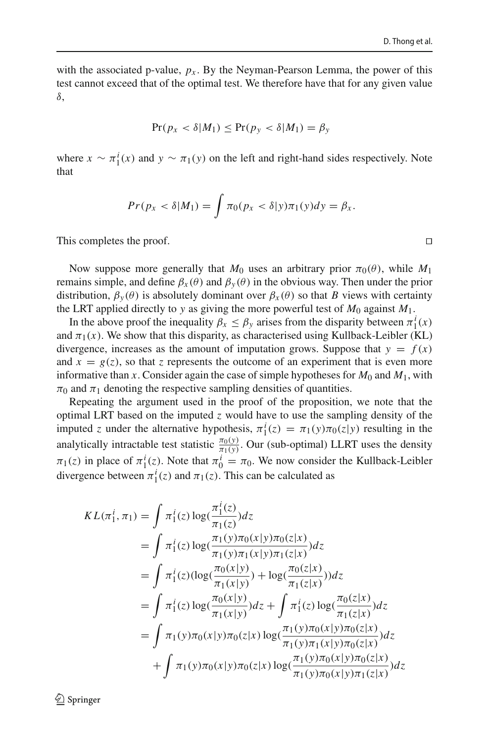with the associated p-value,  $p_x$ . By the Neyman-Pearson Lemma, the power of this test cannot exceed that of the optimal test. We therefore have that for any given value δ,

$$
\Pr(p_x < \delta | M_1) \le \Pr(p_y < \delta | M_1) = \beta_y
$$

where  $x \sim \pi_1^i(x)$  and  $y \sim \pi_1(y)$  on the left and right-hand sides respectively. Note that

$$
Pr(p_x < \delta | M_1) = \int \pi_0(p_x < \delta | y) \pi_1(y) dy = \beta_x.
$$

This completes the proof. 

Now suppose more generally that  $M_0$  uses an arbitrary prior  $\pi_0(\theta)$ , while  $M_1$ remains simple, and define  $β<sub>x</sub>(θ)$  and  $β<sub>y</sub>(θ)$  in the obvious way. Then under the prior distribution,  $\beta_{\nu}(\theta)$  is absolutely dominant over  $\beta_{\chi}(\theta)$  so that *B* views with certainty the LRT applied directly to *y* as giving the more powerful test of  $M_0$  against  $M_1$ .

In the above proof the inequality  $\beta_x \leq \beta_y$  arises from the disparity between  $\pi_1^i(x)$ and  $\pi_1(x)$ . We show that this disparity, as characterised using Kullback-Leibler (KL) divergence, increases as the amount of imputation grows. Suppose that  $y = f(x)$ and  $x = g(z)$ , so that *z* represents the outcome of an experiment that is even more informative than *x*. Consider again the case of simple hypotheses for  $M_0$  and  $M_1$ , with  $\pi_0$  and  $\pi_1$  denoting the respective sampling densities of quantities.

Repeating the argument used in the proof of the proposition, we note that the optimal LRT based on the imputed *z* would have to use the sampling density of the imputed *z* under the alternative hypothesis,  $\pi_1^i(z) = \pi_1(y)\pi_0(z|y)$  resulting in the analytically intractable test statistic  $\frac{\pi_0(y)}{\pi_1(y)}$ . Our (sub-optimal) LLRT uses the density  $\pi_1(z)$  in place of  $\pi_1^i(z)$ . Note that  $\pi_0^i = \pi_0$ . We now consider the Kullback-Leibler divergence between  $\pi_1^i(z)$  and  $\pi_1(z)$ . This can be calculated as

$$
KL(\pi_1^i, \pi_1) = \int \pi_1^i(z) \log(\frac{\pi_1^i(z)}{\pi_1(z)}) dz
$$
  
\n
$$
= \int \pi_1^i(z) \log(\frac{\pi_1(y)\pi_0(x|y)\pi_0(z|x)}{\pi_1(y)\pi_1(x|y)\pi_1(z|x)}) dz
$$
  
\n
$$
= \int \pi_1^i(z) (\log(\frac{\pi_0(x|y)}{\pi_1(x|y)}) + \log(\frac{\pi_0(z|x)}{\pi_1(z|x)})) dz
$$
  
\n
$$
= \int \pi_1^i(z) \log(\frac{\pi_0(x|y)}{\pi_1(x|y)}) dz + \int \pi_1^i(z) \log(\frac{\pi_0(z|x)}{\pi_1(z|x)}) dz
$$
  
\n
$$
= \int \pi_1(y)\pi_0(x|y)\pi_0(z|x) \log(\frac{\pi_1(y)\pi_0(x|y)\pi_0(z|x)}{\pi_1(y)\pi_1(x|y)\pi_0(z|x)}) dz
$$
  
\n
$$
+ \int \pi_1(y)\pi_0(x|y)\pi_0(z|x) \log(\frac{\pi_1(y)\pi_0(x|y)\pi_0(z|x)}{\pi_1(y)\pi_0(x|y)\pi_1(z|x)}) dz
$$

 $\textcircled{2}$  Springer

 $\Box$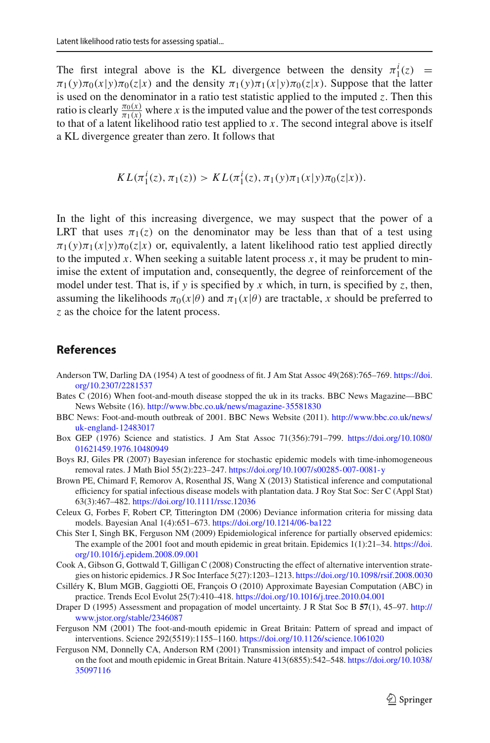The first integral above is the KL divergence between the density  $\pi_1^i(z)$  =  $\pi_1(y)\pi_0(x|y)\pi_0(z|x)$  and the density  $\pi_1(y)\pi_1(x|y)\pi_0(z|x)$ . Suppose that the latter is used on the denominator in a ratio test statistic applied to the imputed *z*. Then this ratio is clearly  $\frac{\pi_0(x)}{\pi_1(x)}$  where *x* is the imputed value and the power of the test corresponds to that of a latent likelihood ratio test applied to *x*. The second integral above is itself a KL divergence greater than zero. It follows that

$$
KL(\pi_1^i(z), \pi_1(z)) > KL(\pi_1^i(z), \pi_1(y)\pi_1(x|y)\pi_0(z|x)).
$$

In the light of this increasing divergence, we may suspect that the power of a LRT that uses  $\pi_1(z)$  on the denominator may be less than that of a test using  $\pi_1(y)\pi_1(x|y)\pi_0(z|x)$  or, equivalently, a latent likelihood ratio test applied directly to the imputed x. When seeking a suitable latent process  $x$ , it may be prudent to minimise the extent of imputation and, consequently, the degree of reinforcement of the model under test. That is, if *y* is specified by *x* which, in turn, is specified by *z*, then, assuming the likelihoods  $\pi_0(x|\theta)$  and  $\pi_1(x|\theta)$  are tractable, *x* should be preferred to *z* as the choice for the latent process.

#### **References**

- <span id="page-19-10"></span>Anderson TW, Darling DA (1954) A test of goodness of fit. J Am Stat Assoc 49(268):765–769. [https://doi.](https://doi.org/10.2307/2281537) [org/10.2307/2281537](https://doi.org/10.2307/2281537)
- <span id="page-19-0"></span>Bates C (2016) When foot-and-mouth disease stopped the uk in its tracks. BBC News Magazine—BBC News Website (16). <http://www.bbc.co.uk/news/magazine-35581830>
- <span id="page-19-4"></span>BBC News: Foot-and-mouth outbreak of 2001. BBC News Website (2011). [http://www.bbc.co.uk/news/](http://www.bbc.co.uk/news/uk-england-12483017) [uk-england-12483017](http://www.bbc.co.uk/news/uk-england-12483017)
- <span id="page-19-6"></span>Box GEP (1976) Science and statistics. J Am Stat Assoc 71(356):791–799. [https://doi.org/10.1080/](https://doi.org/10.1080/01621459.1976.10480949) [01621459.1976.10480949](https://doi.org/10.1080/01621459.1976.10480949)
- <span id="page-19-8"></span>Boys RJ, Giles PR (2007) Bayesian inference for stochastic epidemic models with time-inhomogeneous removal rates. J Math Biol 55(2):223–247. <https://doi.org/10.1007/s00285-007-0081-y>
- <span id="page-19-9"></span>Brown PE, Chimard F, Remorov A, Rosenthal JS, Wang X (2013) Statistical inference and computational efficiency for spatial infectious disease models with plantation data. J Roy Stat Soc: Ser C (Appl Stat) 63(3):467–482. <https://doi.org/10.1111/rssc.12036>
- <span id="page-19-5"></span>Celeux G, Forbes F, Robert CP, Titterington DM (2006) Deviance information criteria for missing data models. Bayesian Anal 1(4):651–673. <https://doi.org/10.1214/06-ba122>
- <span id="page-19-1"></span>Chis Ster I, Singh BK, Ferguson NM (2009) Epidemiological inference for partially observed epidemics: The example of the 2001 foot and mouth epidemic in great britain. Epidemics 1(1):21–34. [https://doi.](https://doi.org/10.1016/j.epidem.2008.09.001) [org/10.1016/j.epidem.2008.09.001](https://doi.org/10.1016/j.epidem.2008.09.001)
- <span id="page-19-12"></span>Cook A, Gibson G, Gottwald T, Gilligan C (2008) Constructing the effect of alternative intervention strategies on historic epidemics. J R Soc Interface 5(27):1203–1213. <https://doi.org/10.1098/rsif.2008.0030>
- <span id="page-19-11"></span>Csilléry K, Blum MGB, Gaggiotti OE, François O (2010) Approximate Bayesian Computation (ABC) in practice. Trends Ecol Evolut 25(7):410–418. <https://doi.org/10.1016/j.tree.2010.04.001>
- <span id="page-19-7"></span>Draper D (1995) Assessment and propagation of model uncertainty. J R Stat Soc B **57**(1), 45–97. [http://](http://www.jstor.org/stable/2346087) [www.jstor.org/stable/2346087](http://www.jstor.org/stable/2346087)
- <span id="page-19-2"></span>Ferguson NM (2001) The foot-and-mouth epidemic in Great Britain: Pattern of spread and impact of interventions. Science 292(5519):1155–1160. <https://doi.org/10.1126/science.1061020>
- <span id="page-19-3"></span>Ferguson NM, Donnelly CA, Anderson RM (2001) Transmission intensity and impact of control policies on the foot and mouth epidemic in Great Britain. Nature 413(6855):542–548. [https://doi.org/10.1038/](https://doi.org/10.1038/35097116) [35097116](https://doi.org/10.1038/35097116)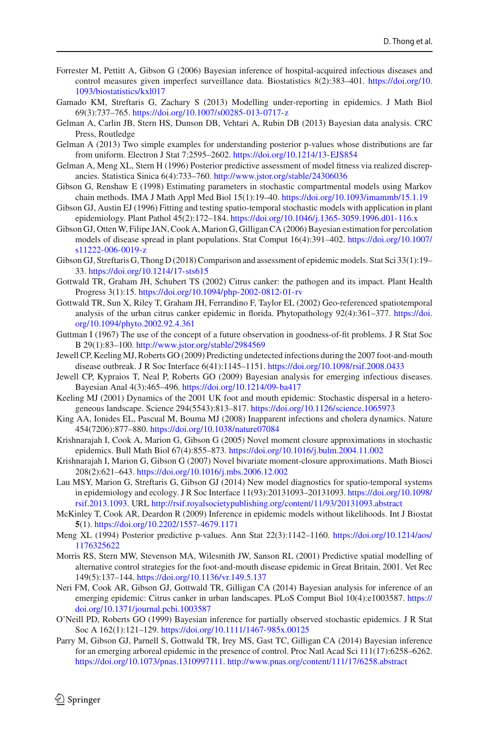- <span id="page-20-20"></span>Forrester M, Pettitt A, Gibson G (2006) Bayesian inference of hospital-acquired infectious diseases and control measures given imperfect surveillance data. Biostatistics 8(2):383–401. [https://doi.org/10.](https://doi.org/10.1093/biostatistics/kxl017) [1093/biostatistics/kxl017](https://doi.org/10.1093/biostatistics/kxl017)
- <span id="page-20-21"></span>Gamado KM, Streftaris G, Zachary S (2013) Modelling under-reporting in epidemics. J Math Biol 69(3):737–765. <https://doi.org/10.1007/s00285-013-0717-z>
- <span id="page-20-24"></span>Gelman A, Carlin JB, Stern HS, Dunson DB, Vehtari A, Rubin DB (2013) Bayesian data analysis. CRC Press, Routledge
- <span id="page-20-10"></span>Gelman A (2013) Two simple examples for understanding posterior p-values whose distributions are far from uniform. Electron J Stat 7:2595–2602. <https://doi.org/10.1214/13-EJS854>
- <span id="page-20-11"></span>Gelman A, Meng XL, Stern H (1996) Posterior predictive assessment of model fitness via realized discrepancies. Statistica Sinica 6(4):733–760. <http://www.jstor.org/stable/24306036>
- <span id="page-20-18"></span>Gibson G, Renshaw E (1998) Estimating parameters in stochastic compartmental models using Markov chain methods. IMA J Math Appl Med Biol 15(1):19–40. <https://doi.org/10.1093/imammb/15.1.19>
- <span id="page-20-0"></span>Gibson GJ, Austin EJ (1996) Fitting and testing spatio-temporal stochastic models with application in plant epidemiology. Plant Pathol 45(2):172–184. <https://doi.org/10.1046/j.1365-3059.1996.d01-116.x>
- <span id="page-20-16"></span>Gibson GJ, Otten W, Filipe JAN, Cook A, Marion G, Gilligan CA (2006) Bayesian estimation for percolation models of disease spread in plant populations. Stat Comput 16(4):391–402. [https://doi.org/10.1007/](https://doi.org/10.1007/s11222-006-0019-z) [s11222-006-0019-z](https://doi.org/10.1007/s11222-006-0019-z)
- <span id="page-20-7"></span>Gibson GJ, Streftaris G, Thong D (2018) Comparison and assessment of epidemic models. Stat Sci 33(1):19– 33. <https://doi.org/10.1214/17-sts615>
- <span id="page-20-5"></span>Gottwald TR, Graham JH, Schubert TS (2002) Citrus canker: the pathogen and its impact. Plant Health Progress 3(1):15. <https://doi.org/10.1094/php-2002-0812-01-rv>
- <span id="page-20-6"></span>Gottwald TR, Sun X, Riley T, Graham JH, Ferrandino F, Taylor EL (2002) Geo-referenced spatiotemporal analysis of the urban citrus canker epidemic in florida. Phytopathology 92(4):361–377. [https://doi.](https://doi.org/10.1094/phyto.2002.92.4.361) [org/10.1094/phyto.2002.92.4.361](https://doi.org/10.1094/phyto.2002.92.4.361)
- <span id="page-20-15"></span>Guttman I (1967) The use of the concept of a future observation in goodness-of-fit problems. J R Stat Soc B 29(1):83–100. <http://www.jstor.org/stable/2984569>
- <span id="page-20-2"></span>Jewell CP, Keeling MJ, Roberts GO (2009) Predicting undetected infections during the 2007 foot-and-mouth disease outbreak. J R Soc Interface 6(41):1145–1151. <https://doi.org/10.1098/rsif.2008.0433>
- <span id="page-20-13"></span>Jewell CP, Kypraios T, Neal P, Roberts GO (2009) Bayesian analysis for emerging infectious diseases. Bayesian Anal 4(3):465–496. <https://doi.org/10.1214/09-ba417>
- <span id="page-20-1"></span>Keeling MJ (2001) Dynamics of the 2001 UK foot and mouth epidemic: Stochastic dispersal in a heterogeneous landscape. Science 294(5543):813–817. <https://doi.org/10.1126/science.1065973>
- <span id="page-20-14"></span>King AA, Ionides EL, Pascual M, Bouma MJ (2008) Inapparent infections and cholera dynamics. Nature 454(7206):877–880. <https://doi.org/10.1038/nature07084>
- <span id="page-20-22"></span>Krishnarajah I, Cook A, Marion G, Gibson G (2005) Novel moment closure approximations in stochastic epidemics. Bull Math Biol 67(4):855–873. <https://doi.org/10.1016/j.bulm.2004.11.002>
- <span id="page-20-23"></span>Krishnarajah I, Marion G, Gibson G (2007) Novel bivariate moment-closure approximations. Math Biosci 208(2):621–643. <https://doi.org/10.1016/j.mbs.2006.12.002>
- <span id="page-20-8"></span>Lau MSY, Marion G, Streftaris G, Gibson GJ (2014) New model diagnostics for spatio-temporal systems in epidemiology and ecology. J R Soc Interface 11(93):20131093–20131093. [https://doi.org/10.1098/](https://doi.org/10.1098/rsif.2013.1093) [rsif.2013.1093.](https://doi.org/10.1098/rsif.2013.1093) URL <http://rsif.royalsocietypublishing.org/content/11/93/20131093.abstract>
- <span id="page-20-17"></span>McKinley T, Cook AR, Deardon R (2009) Inference in epidemic models without likelihoods. Int J Biostat **5**(1). <https://doi.org/10.2202/1557-4679.1171>
- <span id="page-20-9"></span>Meng XL (1994) Posterior predictive p-values. Ann Stat 22(3):1142–1160. [https://doi.org/10.1214/aos/](https://doi.org/10.1214/aos/1176325622) [1176325622](https://doi.org/10.1214/aos/1176325622)
- <span id="page-20-3"></span>Morris RS, Stern MW, Stevenson MA, Wilesmith JW, Sanson RL (2001) Predictive spatial modelling of alternative control strategies for the foot-and-mouth disease epidemic in Great Britain, 2001. Vet Rec 149(5):137–144. <https://doi.org/10.1136/vr.149.5.137>
- <span id="page-20-4"></span>Neri FM, Cook AR, Gibson GJ, Gottwald TR, Gilligan CA (2014) Bayesian analysis for inference of an emerging epidemic: Citrus canker in urban landscapes. PLoS Comput Biol 10(4):e1003587. [https://](https://doi.org/10.1371/journal.pcbi.1003587) [doi.org/10.1371/journal.pcbi.1003587](https://doi.org/10.1371/journal.pcbi.1003587)
- <span id="page-20-19"></span>O'Neill PD, Roberts GO (1999) Bayesian inference for partially observed stochastic epidemics. J R Stat Soc A 162(1):121–129. <https://doi.org/10.1111/1467-985x.00125>
- <span id="page-20-12"></span>Parry M, Gibson GJ, Parnell S, Gottwald TR, Irey MS, Gast TC, Gilligan CA (2014) Bayesian inference for an emerging arboreal epidemic in the presence of control. Proc Natl Acad Sci 111(17):6258–6262. [https://doi.org/10.1073/pnas.1310997111.](https://doi.org/10.1073/pnas.1310997111) <http://www.pnas.org/content/111/17/6258.abstract>